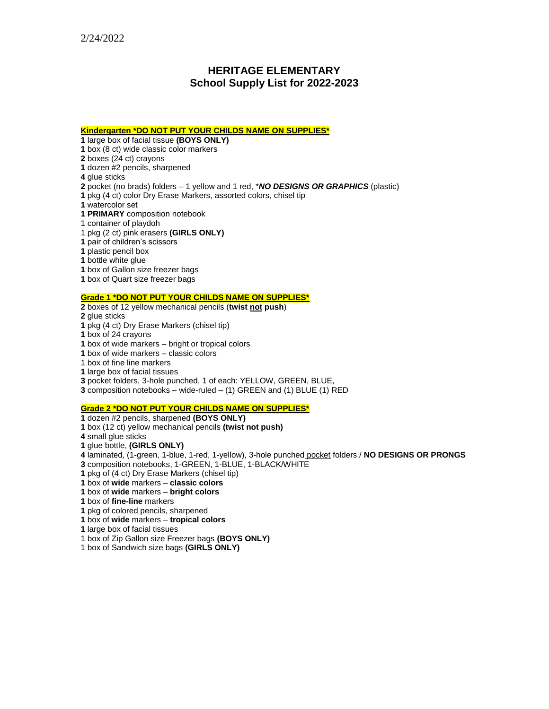# **HERITAGE ELEMENTARY School Supply List for 2022-2023**

#### **Kindergarten \*DO NOT PUT YOUR CHILDS NAME ON SUPPLIES\***

large box of facial tissue **(BOYS ONLY)**

box (8 ct) wide classic color markers

boxes (24 ct) crayons

dozen #2 pencils, sharpened

glue sticks

pocket (no brads) folders – 1 yellow and 1 red, \**NO DESIGNS OR GRAPHICS* (plastic)

pkg (4 ct) color Dry Erase Markers, assorted colors, chisel tip

watercolor set

**1 PRIMARY** composition notebook

1 container of playdoh

1 pkg (2 ct) pink erasers **(GIRLS ONLY)**

pair of children's scissors

plastic pencil box

bottle white glue

box of Gallon size freezer bags

box of Quart size freezer bags

## **Grade 1 \*DO NOT PUT YOUR CHILDS NAME ON SUPPLIES\***

boxes of 12 yellow mechanical pencils (**twist not push**)

glue sticks

pkg (4 ct) Dry Erase Markers (chisel tip)

box of 24 crayons

box of wide markers – bright or tropical colors

box of wide markers – classic colors

1 box of fine line markers

large box of facial tissues

pocket folders, 3-hole punched, 1 of each: YELLOW, GREEN, BLUE,

composition notebooks – wide-ruled – (1) GREEN and (1) BLUE (1) RED

### **Grade 2 \*DO NOT PUT YOUR CHILDS NAME ON SUPPLIES\***

dozen #2 pencils, sharpened **(BOYS ONLY)**

box (12 ct) yellow mechanical pencils **(twist not push)**

small glue sticks

glue bottle, **(GIRLS ONLY)**

 laminated, (1-green, 1-blue, 1-red, 1-yellow), 3-hole punched pocket folders / **NO DESIGNS OR PRONGS** composition notebooks, 1-GREEN, 1-BLUE, 1-BLACK/WHITE

pkg of (4 ct) Dry Erase Markers (chisel tip)

box of **wide** markers – **classic colors**

box of **wide** markers – **bright colors** 

box of **fine-line** markers

pkg of colored pencils, sharpened

box of **wide** markers – **tropical colors** 

large box of facial tissues

1 box of Zip Gallon size Freezer bags **(BOYS ONLY)**

1 box of Sandwich size bags **(GIRLS ONLY)**